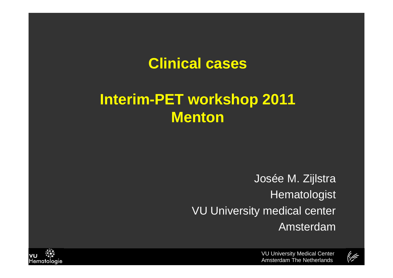### **Clinical cases**

# **Interim-PET workshop 2011 Menton**

Josée M. Zijlstra**Hematologist VU** University medical center Amsterdam



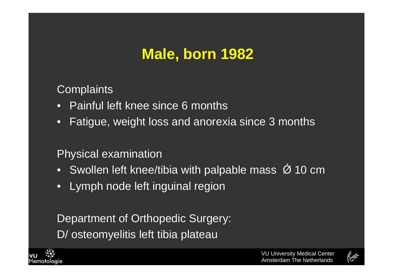# **Male, born <sup>1982</sup>**

**Complaints** 

- Painful left knee since 6 months
- •Fatigue, weight loss and anorexia since 3 months

#### Physical examination

- Swollen left knee/tibia with palpable mass  $\acute{\mathcal{O}}$  10 cm
- Lymph node left inguinal region

Department of Orthopedic Surgery: D/ osteomyelitis left tibia plateau



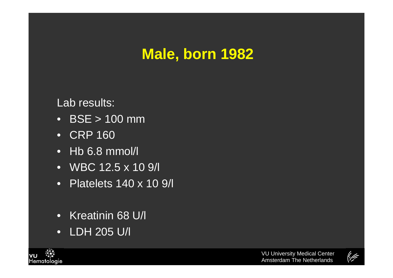# **Male, born <sup>1982</sup>**

Lab results:

- BSE > 100 mm
- CRP 160
- Hb 6.8 mmol/l
- WBC 12.5 x 10 9/l
- Platelets 140 x 10 9/l
- Kreatinin 68 U/l
- LDH 205 U/l



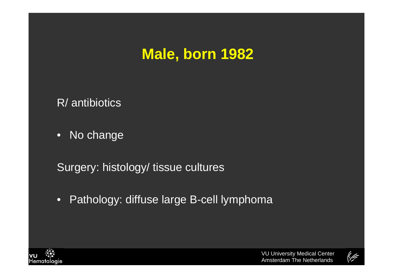# **Male, born <sup>1982</sup>**

R/ antibiotics

• No change

Surgery: histology/ tissue cultures

•Pathology: diffuse large B-cell lymphoma



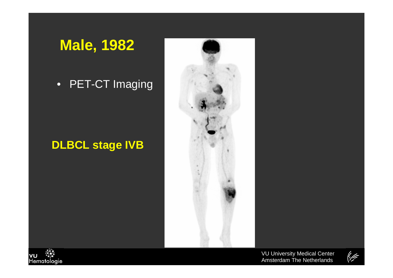### **Male, 1982**

#### • PET-CT Imaging

#### **DLBCL stage IVB**





VU University Medical CenterAmsterdam The Netherlands

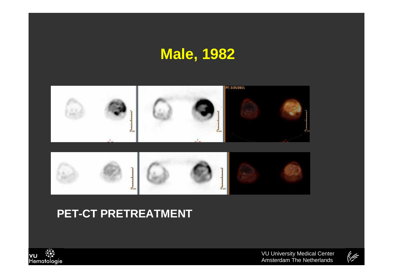## **Male, 1982**



#### **PET-CT PRETREATMENT**



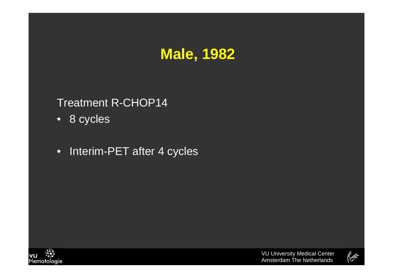

#### Treatment R-CHOP14

- 8 cycles
- Interim-PET after 4 cycles



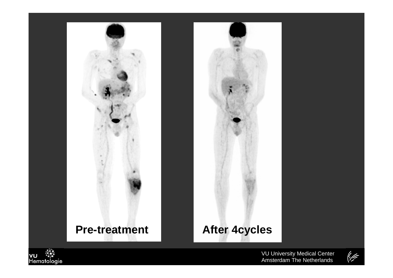





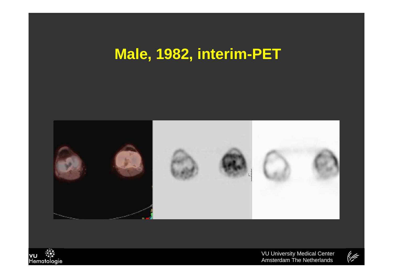## **Male, 1982, interim-PET**





VU University Medical CenterAmsterdam The Netherlands